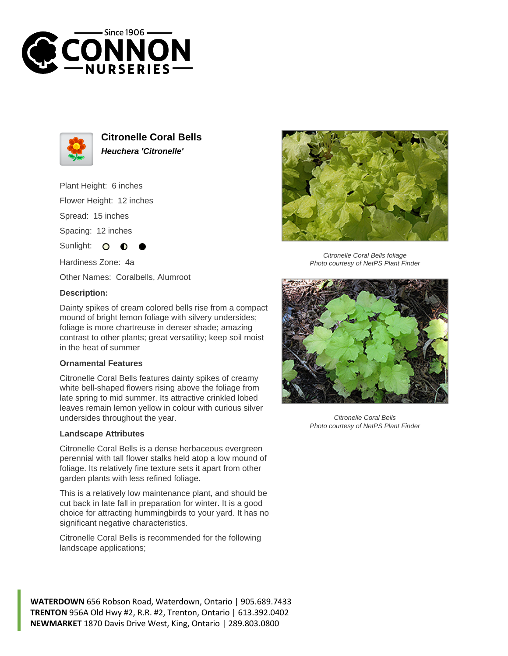



**Citronelle Coral Bells Heuchera 'Citronelle'**

Plant Height: 6 inches

Flower Height: 12 inches

Spread: 15 inches

Spacing: 12 inches

Sunlight:  $\mathbf O$ 

Hardiness Zone: 4a

Other Names: Coralbells, Alumroot

## **Description:**

Dainty spikes of cream colored bells rise from a compact mound of bright lemon foliage with silvery undersides; foliage is more chartreuse in denser shade; amazing contrast to other plants; great versatility; keep soil moist in the heat of summer

## **Ornamental Features**

Citronelle Coral Bells features dainty spikes of creamy white bell-shaped flowers rising above the foliage from late spring to mid summer. Its attractive crinkled lobed leaves remain lemon yellow in colour with curious silver undersides throughout the year.

## **Landscape Attributes**

Citronelle Coral Bells is a dense herbaceous evergreen perennial with tall flower stalks held atop a low mound of foliage. Its relatively fine texture sets it apart from other garden plants with less refined foliage.

This is a relatively low maintenance plant, and should be cut back in late fall in preparation for winter. It is a good choice for attracting hummingbirds to your yard. It has no significant negative characteristics.

Citronelle Coral Bells is recommended for the following landscape applications;



Photo courtesy of NetPS Plant Finder



Citronelle Coral Bells Photo courtesy of NetPS Plant Finder

**WATERDOWN** 656 Robson Road, Waterdown, Ontario | 905.689.7433 **TRENTON** 956A Old Hwy #2, R.R. #2, Trenton, Ontario | 613.392.0402 **NEWMARKET** 1870 Davis Drive West, King, Ontario | 289.803.0800